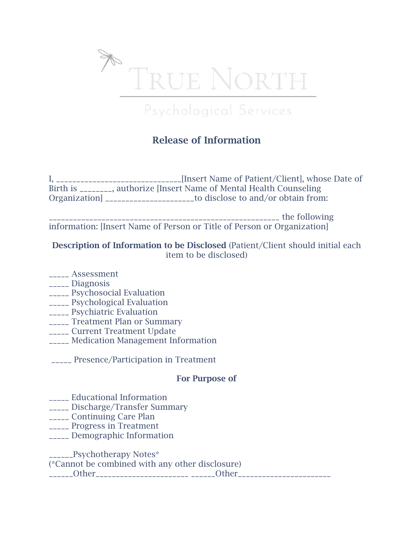

# Psychological Services

# Release of Information

I, \_\_\_\_\_\_\_\_\_\_\_\_\_\_\_\_\_\_\_\_\_\_\_\_\_\_\_\_\_\_\_[Insert Name of Patient/Client], whose Date of Birth is \_\_\_\_\_\_\_\_, authorize [Insert Name of Mental Health Counseling Organization] \_\_\_\_\_\_\_\_\_\_\_\_\_\_\_\_\_\_\_\_\_\_to disclose to and/or obtain from:

\_\_\_\_\_\_\_\_\_\_\_\_\_\_\_\_\_\_\_\_\_\_\_\_\_\_\_\_\_\_\_\_\_\_\_\_\_\_\_\_\_\_\_\_\_\_\_\_\_\_\_\_\_\_\_\_\_ the following information: [Insert Name of Person or Title of Person or Organization]

Description of Information to be Disclosed (Patient/Client should initial each item to be disclosed)

- \_\_\_\_\_ Assessment
- \_\_\_\_\_ Diagnosis
- \_\_\_\_\_ Psychosocial Evaluation
- \_\_\_\_\_ Psychological Evaluation
- \_\_\_\_\_ Psychiatric Evaluation
- \_\_\_\_\_ Treatment Plan or Summary
- \_\_\_\_\_ Current Treatment Update
- \_\_\_\_\_ Medication Management Information
- \_\_\_\_\_ Presence/Participation in Treatment

# For Purpose of

- \_\_\_\_\_ Educational Information
- \_\_\_\_\_ Discharge/Transfer Summary
- \_\_\_\_\_ Continuing Care Plan
- \_\_\_\_\_ Progress in Treatment
- \_\_\_\_\_ Demographic Information

\_\_\_\_\_\_Psychotherapy Notes\* (\*Cannot be combined with any other disclosure) \_\_\_\_\_\_Other\_\_\_\_\_\_\_\_\_\_\_\_\_\_\_\_\_\_\_\_\_\_\_ \_\_\_\_\_\_Other\_\_\_\_\_\_\_\_\_\_\_\_\_\_\_\_\_\_\_\_\_\_\_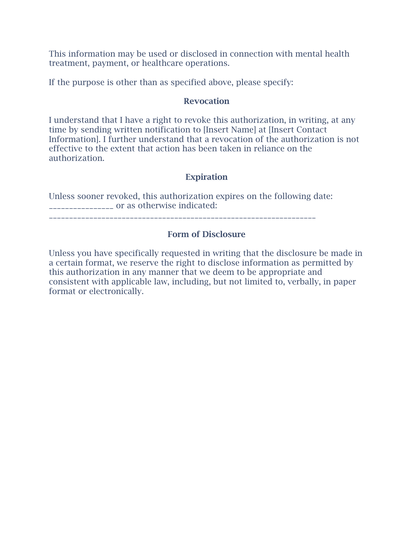This information may be used or disclosed in connection with mental health treatment, payment, or healthcare operations.

If the purpose is other than as specified above, please specify:

#### **Revocation**

I understand that I have a right to revoke this authorization, in writing, at any time by sending written notification to [Insert Name] at [Insert Contact Information]. I further understand that a revocation of the authorization is not effective to the extent that action has been taken in reliance on the authorization.

# Expiration

Unless sooner revoked, this authorization expires on the following date:  $\frac{1}{2}$  as otherwise indicated:

\_\_\_\_\_\_\_\_\_\_\_\_\_\_\_\_\_\_\_\_\_\_\_\_\_\_\_\_\_\_\_\_\_\_\_\_\_\_\_\_\_\_\_\_\_\_\_\_\_\_\_\_\_\_\_\_\_\_\_\_\_\_\_\_\_\_

# Form of Disclosure

Unless you have specifically requested in writing that the disclosure be made in a certain format, we reserve the right to disclose information as permitted by this authorization in any manner that we deem to be appropriate and consistent with applicable law, including, but not limited to, verbally, in paper format or electronically.